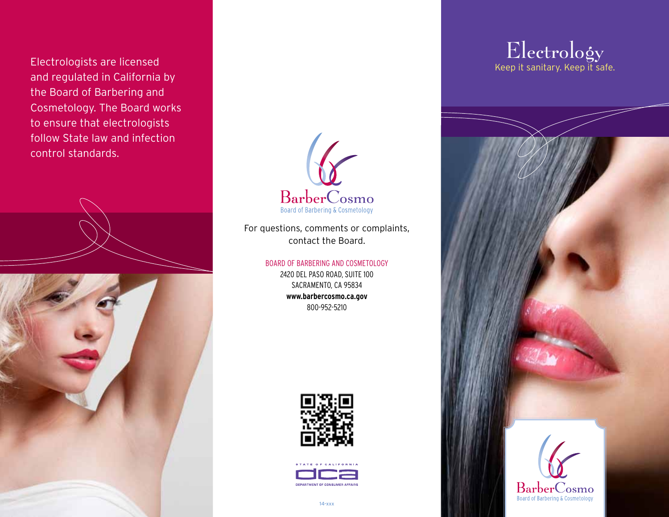Electrologists are licensed and regulated in California by the Board of Barbering and Cosmetology. The Board works to ensure that electrologists follow State law and infection control standards.





For questions, comments or complaints, contact the Board.

> Board of BarBering and Cosmetology 2420 del Paso road, suite 100 SACRAMENTO, CA 95834 **www.barbercosmo.ca.gov**  800-952-5210